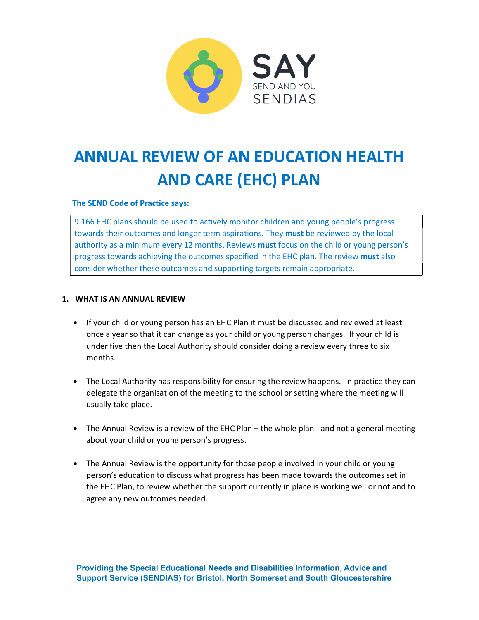

# ANNUAL REVIEW OF AN EDUCATION HEALTH AND CARE (EHC) PLAN

#### The SEND Code of Practice says:

9.166 EHC plans should be used to actively monitor children and young people's progress towards their outcomes and longer term aspirations. They **must** be reviewed by the local authority as a minimum every 12 months. Reviews must focus on the child or young person's progress towards achieving the outcomes specified in the EHC plan. The review must also consider whether these outcomes and supporting targets remain appropriate. **ANNUAL REVIEW OF AN EDUCATION HEALTH**<br> **AND CARE (EHC) PLAN**<br>
The SEND Code of Practice says:<br> **9.166 EHC plans should be used to actively monitor children and young people's progress<br>
towards their outcomes and longer te** 

- If your child or young person has an EHC Plan it must be discussed and reviewed at least once a year so that it can change as your child or young person changes. If your child is under five then the Local Authority should consider doing a review every three to six months.
- The Local Authority has responsibility for ensuring the review happens. In practice they can delegate the organisation of the meeting to the school or setting where the meeting will usually take place.
- The Annual Review is a review of the EHC Plan the whole plan and not a general meeting about your child or young person's progress.
- The Annual Review is the opportunity for those people involved in your child or young person's education to discuss what progress has been made towards the outcomes set in the EHC Plan, to review whether the support currently in place is working well or not and to agree any new outcomes needed.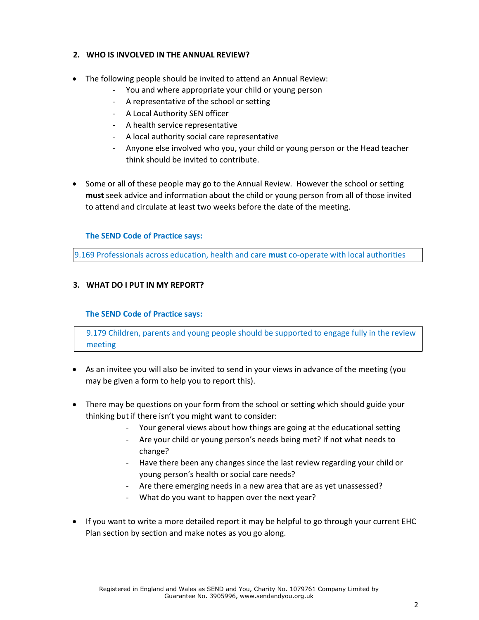#### 2. WHO IS INVOLVED IN THE ANNUAL REVIEW?

- The following people should be invited to attend an Annual Review:
	- You and where appropriate your child or young person
	- A representative of the school or setting
	- A Local Authority SEN officer
	- A health service representative
	- A local authority social care representative
	- Anyone else involved who you, your child or young person or the Head teacher think should be invited to contribute.
- Some or all of these people may go to the Annual Review. However the school or setting must seek advice and information about the child or young person from all of those invited to attend and circulate at least two weeks before the date of the meeting.

#### The SEND Code of Practice says:

9.169 Professionals across education, health and care must co-operate with local authorities

#### 3. WHAT DO I PUT IN MY REPORT?

#### The SEND Code of Practice says:

9.179 Children, parents and young people should be supported to engage fully in the review meeting

- As an invitee you will also be invited to send in your views in advance of the meeting (you may be given a form to help you to report this).
- There may be questions on your form from the school or setting which should guide your thinking but if there isn't you might want to consider:
	- Your general views about how things are going at the educational setting
	- Are your child or young person's needs being met? If not what needs to change?
	- Have there been any changes since the last review regarding your child or young person's health or social care needs?
	- Are there emerging needs in a new area that are as yet unassessed?
	- What do you want to happen over the next year?
- If you want to write a more detailed report it may be helpful to go through your current EHC Plan section by section and make notes as you go along.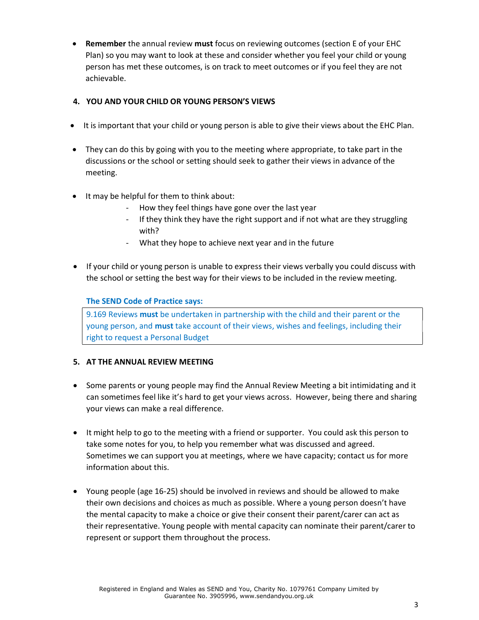• Remember the annual review must focus on reviewing outcomes (section E of your EHC Plan) so you may want to look at these and consider whether you feel your child or young person has met these outcomes, is on track to meet outcomes or if you feel they are not achievable.

# 4. YOU AND YOUR CHILD OR YOUNG PERSON'S VIEWS

- It is important that your child or young person is able to give their views about the EHC Plan.
- They can do this by going with you to the meeting where appropriate, to take part in the discussions or the school or setting should seek to gather their views in advance of the meeting.
- $\bullet$  It may be helpful for them to think about:
	- How they feel things have gone over the last year
	- If they think they have the right support and if not what are they struggling with?
	- What they hope to achieve next year and in the future
- If your child or young person is unable to express their views verbally you could discuss with the school or setting the best way for their views to be included in the review meeting.

#### The SEND Code of Practice says:

9.169 Reviews must be undertaken in partnership with the child and their parent or the young person, and must take account of their views, wishes and feelings, including their right to request a Personal Budget

#### 5. AT THE ANNUAL REVIEW MEETING

- Some parents or young people may find the Annual Review Meeting a bit intimidating and it can sometimes feel like it's hard to get your views across. However, being there and sharing your views can make a real difference.
- It might help to go to the meeting with a friend or supporter. You could ask this person to take some notes for you, to help you remember what was discussed and agreed. Sometimes we can support you at meetings, where we have capacity; contact us for more information about this.
- Young people (age 16-25) should be involved in reviews and should be allowed to make their own decisions and choices as much as possible. Where a young person doesn't have the mental capacity to make a choice or give their consent their parent/carer can act as their representative. Young people with mental capacity can nominate their parent/carer to represent or support them throughout the process.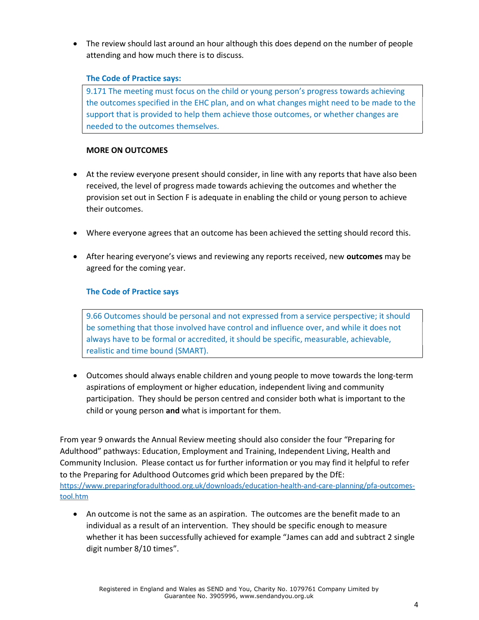The review should last around an hour although this does depend on the number of people attending and how much there is to discuss.

#### The Code of Practice says:

9.171 The meeting must focus on the child or young person's progress towards achieving the outcomes specified in the EHC plan, and on what changes might need to be made to the support that is provided to help them achieve those outcomes, or whether changes are needed to the outcomes themselves.

# MORE ON OUTCOMES

- At the review everyone present should consider, in line with any reports that have also been received, the level of progress made towards achieving the outcomes and whether the provision set out in Section F is adequate in enabling the child or young person to achieve their outcomes.
- Where everyone agrees that an outcome has been achieved the setting should record this.
- After hearing everyone's views and reviewing any reports received, new outcomes may be agreed for the coming year.

# The Code of Practice says

9.66 Outcomes should be personal and not expressed from a service perspective; it should be something that those involved have control and influence over, and while it does not always have to be formal or accredited, it should be specific, measurable, achievable, realistic and time bound (SMART).

 Outcomes should always enable children and young people to move towards the long-term aspirations of employment or higher education, independent living and community participation. They should be person centred and consider both what is important to the child or young person and what is important for them.

From year 9 onwards the Annual Review meeting should also consider the four "Preparing for Adulthood" pathways: Education, Employment and Training, Independent Living, Health and Community Inclusion. Please contact us for further information or you may find it helpful to refer to the Preparing for Adulthood Outcomes grid which been prepared by the DfE: [https://www.preparingforadulthood.org.uk/downloads/education-health-and-care-planning/pfa-outcomes](https://www.preparingforadulthood.org.uk/downloads/education-health-and-care-planning/pfa-outcomes-tool.htm)tool.[htm](https://www.preparingforadulthood.org.uk/downloads/education-health-and-care-planning/pfa-outcomes-tool.htm)

 An outcome is not the same as an aspiration. The outcomes are the benefit made to an individual as a result of an intervention. They should be specific enough to measure whether it has been successfully achieved for example "James can add and subtract 2 single digit number 8/10 times".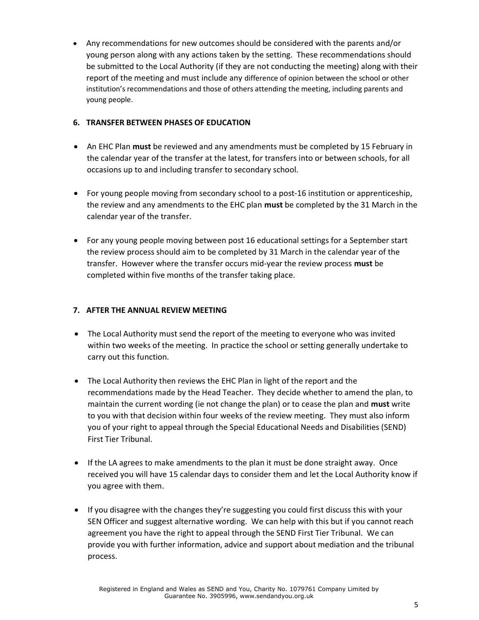Any recommendations for new outcomes should be considered with the parents and/or young person along with any actions taken by the setting. These recommendations should be submitted to the Local Authority (if they are not conducting the meeting) along with their report of the meeting and must include any difference of opinion between the school or other institution's recommendations and those of others attending the meeting, including parents and young people.

### 6. TRANSFER BETWEEN PHASES OF EDUCATION

- An EHC Plan must be reviewed and any amendments must be completed by 15 February in the calendar year of the transfer at the latest, for transfers into or between schools, for all occasions up to and including transfer to secondary school.
- For young people moving from secondary school to a post-16 institution or apprenticeship, the review and any amendments to the EHC plan must be completed by the 31 March in the calendar year of the transfer.
- For any young people moving between post 16 educational settings for a September start the review process should aim to be completed by 31 March in the calendar year of the transfer. However where the transfer occurs mid-year the review process must be completed within five months of the transfer taking place.

# 7. AFTER THE ANNUAL REVIEW MEETING

- The Local Authority must send the report of the meeting to everyone who was invited within two weeks of the meeting. In practice the school or setting generally undertake to carry out this function.
- The Local Authority then reviews the EHC Plan in light of the report and the recommendations made by the Head Teacher. They decide whether to amend the plan, to maintain the current wording (ie not change the plan) or to cease the plan and must write to you with that decision within four weeks of the review meeting. They must also inform you of your right to appeal through the Special Educational Needs and Disabilities (SEND) First Tier Tribunal.
- If the LA agrees to make amendments to the plan it must be done straight away. Once received you will have 15 calendar days to consider them and let the Local Authority know if you agree with them.
- If you disagree with the changes they're suggesting you could first discuss this with your SEN Officer and suggest alternative wording. We can help with this but if you cannot reach agreement you have the right to appeal through the SEND First Tier Tribunal. We can provide you with further information, advice and support about mediation and the tribunal process.